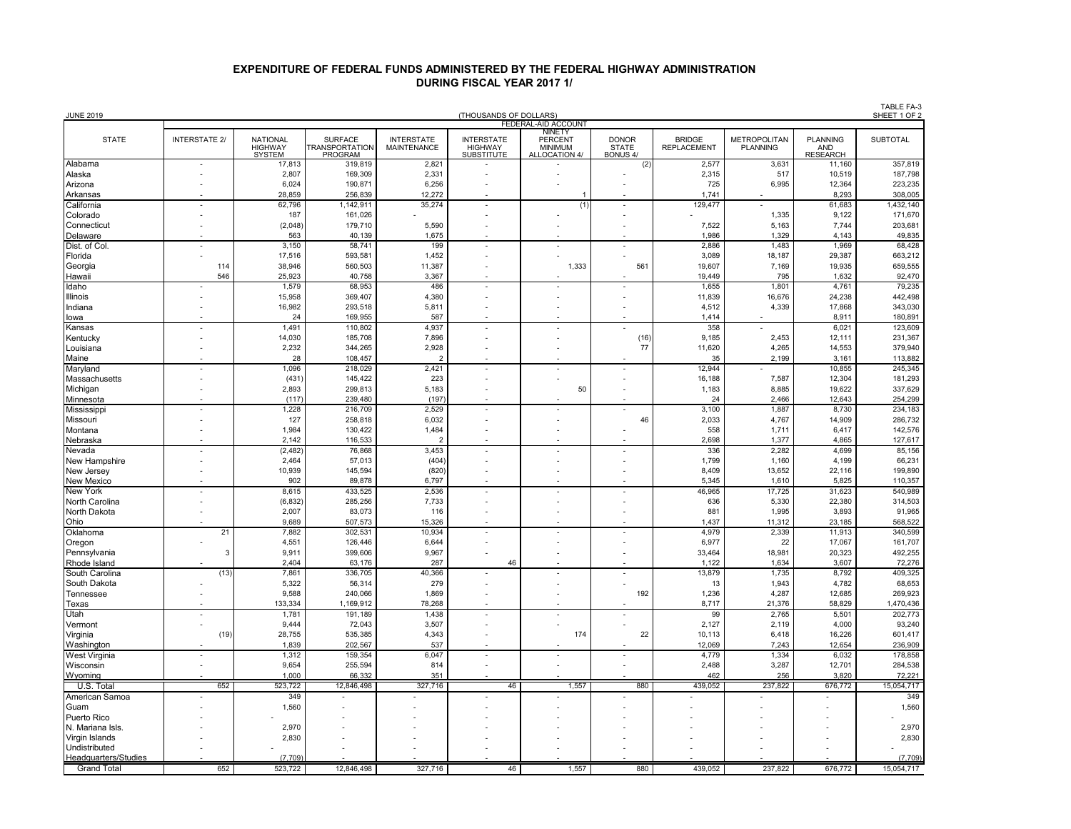## **DURING FISCAL YEAR 2017 1/ EXPENDITURE OF FEDERAL FUNDS ADMINISTERED BY THE FEDERAL HIGHWAY ADMINISTRATION**

| <b>JUNE 2019</b><br>(THOUSANDS OF DOLLARS) |                      |                                             |                                                    |                                         |                                                          |                                                   |                                                 |                                     |                                        |                                           | TABLE FA-3<br>SHEET 1 OF 2 |
|--------------------------------------------|----------------------|---------------------------------------------|----------------------------------------------------|-----------------------------------------|----------------------------------------------------------|---------------------------------------------------|-------------------------------------------------|-------------------------------------|----------------------------------------|-------------------------------------------|----------------------------|
|                                            |                      |                                             |                                                    |                                         |                                                          | FEDERAL-AID ACCOUNT<br><b>NINETY</b>              |                                                 |                                     |                                        |                                           |                            |
| <b>STATE</b>                               | <b>INTERSTATE 2/</b> | <b>NATIONAL</b><br><b>HIGHWAY</b><br>SYSTEM | <b>SURFACE</b><br><b>TRANSPORTATION</b><br>PROGRAM | <b>INTERSTATE</b><br><b>MAINTENANCE</b> | <b>INTERSTATE</b><br><b>HIGHWAY</b><br><b>SUBSTITUTE</b> | <b>PERCENT</b><br><b>MINIMUM</b><br>ALLOCATION 4/ | <b>DONOR</b><br><b>STATE</b><br><b>BONUS 4/</b> | <b>BRIDGE</b><br><b>REPLACEMENT</b> | <b>METROPOLITAN</b><br><b>PLANNING</b> | <b>PLANNING</b><br>AND<br><b>RESEARCH</b> | <b>SUBTOTAL</b>            |
| Alabama                                    |                      | 17,813                                      | 319,819                                            | $2,82^{\circ}$                          |                                                          |                                                   | (2)                                             | 2,577                               | 3,631                                  | 11,160                                    | 357,819                    |
| Alaska                                     |                      | 2,807                                       | 169,309                                            | 2,331                                   |                                                          |                                                   |                                                 | 2,315                               | 517                                    | 10,519                                    | 187,798                    |
| Arizona                                    |                      | 6,024                                       | 190,871                                            | 6,256                                   |                                                          |                                                   | ÷,                                              | 725                                 | 6,995                                  | 12,364                                    | 223,235                    |
| Arkansas                                   |                      | 28,859                                      | 256,839                                            | 12,272                                  |                                                          |                                                   |                                                 | 1,741                               |                                        | 8,293                                     | 308,005                    |
| California                                 |                      | 62,796                                      | 1,142,911                                          | 35,274                                  |                                                          | (1)                                               |                                                 | 129,477                             |                                        | 61,683                                    | 1,432,140                  |
| Colorado<br>Connecticut                    |                      | 187<br>(2,048)                              | 161,026<br>179,710                                 | 5,590                                   |                                                          |                                                   |                                                 | 7,522                               | 1,335<br>5,163                         | 9,122<br>7,744                            | 171,670<br>203,681         |
| Delaware                                   |                      | 563                                         | 40,139                                             | 1,675                                   |                                                          |                                                   |                                                 | 1,986                               | 1,329                                  | 4,143                                     | 49,835                     |
| Dist. of Col.                              |                      | 3,150                                       | 58,741                                             | 199                                     |                                                          |                                                   |                                                 | 2,886                               | 1,483                                  | 1,969                                     | 68,428                     |
| Florida                                    |                      | 17,516                                      | 593,581                                            | 1,452                                   |                                                          |                                                   |                                                 | 3,089                               | 18,187                                 | 29,387                                    | 663,212                    |
| Georgia                                    | 114                  | 38,946                                      | 560,503                                            | 11,387                                  |                                                          | 1,333                                             | 561                                             | 19,607                              | 7,169                                  | 19,935                                    | 659,555                    |
| Hawaii                                     | 546                  | 25,923                                      | 40,758                                             | 3,367                                   |                                                          |                                                   |                                                 | 19,449                              | 795                                    | 1,632                                     | 92,470                     |
| Idaho                                      |                      | 1,579                                       | 68,953                                             | 486                                     |                                                          |                                                   |                                                 | 1,655                               | 1,801                                  | 4,761                                     | 79,235                     |
| <b>Illinois</b>                            |                      | 15,958                                      | 369,407                                            | 4,380                                   |                                                          |                                                   |                                                 | 11,839                              | 16,676                                 | 24,238                                    | 442,498                    |
| Indiana                                    |                      | 16,982                                      | 293,518                                            | 5,811                                   |                                                          |                                                   |                                                 | 4,512                               | 4,339                                  | 17,868                                    | 343,030                    |
| lowa                                       |                      | 24<br>1.491                                 | 169,955<br>110,802                                 | 587<br>4,937                            |                                                          |                                                   |                                                 | 1,414<br>358                        |                                        | 8,911<br>6,021                            | 180,891<br>123,609         |
| Kansas<br>Kentucky                         |                      | 14,030                                      | 185,708                                            | 7,896                                   |                                                          |                                                   | (16)                                            | 9,185                               | 2,453                                  | 12,111                                    | 231,367                    |
| Louisiana                                  |                      | 2,232                                       | 344,265                                            | 2,928                                   |                                                          |                                                   | 77                                              | 11,620                              | 4,265                                  | 14,553                                    | 379,940                    |
| Maine                                      |                      | 28                                          | 108,457                                            |                                         |                                                          |                                                   |                                                 | 35                                  | 2,199                                  | 3,161                                     | 113,882                    |
| Maryland                                   |                      | 1,096                                       | 218,029                                            | 2,421                                   |                                                          |                                                   |                                                 | 12,944                              |                                        | 10,855                                    | 245,345                    |
| Massachusetts                              |                      | (431)                                       | 145,422                                            | 223                                     |                                                          |                                                   |                                                 | 16,188                              | 7,587                                  | 12,304                                    | 181,293                    |
| Michigan                                   | $\overline{a}$       | 2,893                                       | 299,813                                            | 5,183                                   |                                                          | 50                                                | L,                                              | 1,183                               | 8,885                                  | 19,622                                    | 337,629                    |
| Minnesota                                  |                      | (117)                                       | 239.480                                            | (197)                                   |                                                          |                                                   |                                                 | 24                                  | 2.466                                  | 12.643                                    | 254,299                    |
| Mississippi                                |                      | 1,228                                       | 216,709                                            | 2,529                                   |                                                          |                                                   |                                                 | 3,100                               | 1,887                                  | 8,730                                     | 234,183                    |
| Missouri                                   |                      | 127                                         | 258,818                                            | 6,032                                   |                                                          |                                                   | 46                                              | 2,033                               | 4,767                                  | 14,909                                    | 286,732                    |
| Montana                                    |                      | 1,984                                       | 130,422                                            | 1,484                                   |                                                          |                                                   |                                                 | 558                                 | 1,711                                  | 6,417                                     | 142,576                    |
| Nebraska<br>Nevada                         |                      | 2,142<br>(2, 482)                           | 116,533<br>76,868                                  | 3,453                                   |                                                          |                                                   |                                                 | 2,698<br>336                        | 1,377<br>2,282                         | 4,865<br>4,699                            | 127,617<br>85,156          |
| New Hampshire                              |                      | 2,464                                       | 57,013                                             | (404)                                   |                                                          |                                                   | $\overline{a}$                                  | 1,799                               | 1,160                                  | 4,199                                     | 66,231                     |
| New Jersey                                 |                      | 10.939                                      | 145.594                                            | (820)                                   |                                                          |                                                   |                                                 | 8,409                               | 13,652                                 | 22.116                                    | 199,890                    |
| <b>New Mexico</b>                          |                      | 902                                         | 89,878                                             | 6,797                                   |                                                          |                                                   |                                                 | 5,345                               | 1,610                                  | 5,825                                     | 110,357                    |
| <b>New York</b>                            |                      | 8,615                                       | 433,525                                            | 2,536                                   |                                                          |                                                   |                                                 | 46,965                              | 17,725                                 | 31,623                                    | 540,989                    |
| North Carolina                             |                      | (6, 832)                                    | 285,256                                            | 7,733                                   |                                                          |                                                   |                                                 | 636                                 | 5,330                                  | 22,380                                    | 314,503                    |
| North Dakota                               |                      | 2,007                                       | 83,073                                             | 116                                     |                                                          |                                                   | ÷,                                              | 881                                 | 1,995                                  | 3,893                                     | 91,965                     |
| Ohio                                       |                      | 9,689                                       | 507,573                                            | 15,326                                  |                                                          |                                                   |                                                 | 1,437                               | 11,312                                 | 23,185                                    | 568,522                    |
| Oklahoma                                   | 21                   | 7,882                                       | 302,531                                            | 10,934                                  |                                                          |                                                   |                                                 | 4,979                               | 2,339                                  | 11,913                                    | 340,599                    |
| Oregon                                     | 3                    | 4,551<br>9,911                              | 126,446<br>399,606                                 | 6.644<br>9,967                          |                                                          |                                                   | ÷                                               | 6.977<br>33,464                     | 22<br>18,981                           | 17.067<br>20,323                          | 161,707<br>492,255         |
| Pennsylvania<br>Rhode Island               |                      | 2.404                                       | 63,176                                             | 287                                     | 46                                                       |                                                   |                                                 | 1,122                               | 1,634                                  | 3,607                                     | 72,276                     |
| South Carolina                             | (13)                 | 7,861                                       | 336,705                                            | 40,366                                  |                                                          |                                                   | Ĭ.                                              | 13,879                              | 1,735                                  | 8,792                                     | 409,325                    |
| South Dakota                               |                      | 5,322                                       | 56,314                                             | 279                                     |                                                          |                                                   |                                                 | 13                                  | 1,943                                  | 4,782                                     | 68,653                     |
| Tennessee                                  |                      | 9,588                                       | 240,066                                            | 1,869                                   |                                                          |                                                   | 192                                             | 1,236                               | 4,287                                  | 12,685                                    | 269,923                    |
| Texas                                      |                      | 133,334                                     | 1,169,912                                          | 78,268                                  |                                                          |                                                   |                                                 | 8,717                               | 21,376                                 | 58,829                                    | 1,470,436                  |
| Utah                                       |                      | 1,781                                       | 191,189                                            | 1,438                                   |                                                          |                                                   |                                                 | 99                                  | 2,765                                  | 5,501                                     | 202,773                    |
| Vermont                                    |                      | 9,444                                       | 72,043                                             | 3,507                                   |                                                          |                                                   | ÷                                               | 2,127                               | 2,119                                  | 4,000                                     | 93,240                     |
| Virginia                                   | (19)                 | 28,755                                      | 535,385                                            | 4,343                                   |                                                          | 174                                               | 22                                              | 10,113                              | 6,418                                  | 16,226                                    | 601,417                    |
| Washington                                 |                      | 1,839                                       | 202,567                                            | 537                                     |                                                          |                                                   |                                                 | 12,069                              | 7,243                                  | 12,654                                    | 236,909                    |
| <b>West Virginia</b><br>Wisconsin          |                      | 1,312<br>9,654                              | 159,354<br>255,594                                 | 6,047<br>814                            | $\overline{\phantom{a}}$                                 |                                                   | ÷                                               | 4,779<br>2,488                      | 1,334<br>3,287                         | 6,032<br>12,701                           | 178,858<br>284,538         |
| Wyoming                                    |                      | 1,000                                       | 66,332                                             | 351                                     |                                                          |                                                   |                                                 | 462                                 | 256                                    | 3,820                                     | 72,221                     |
| U.S. Total                                 | 652                  | 523,722                                     | 12,846,498                                         | 327,716                                 | 46                                                       | 1,557                                             | 880                                             | 439,052                             | 237,822                                | 676,772                                   | 15,054,717                 |
| American Samoa                             |                      | 349                                         |                                                    |                                         |                                                          |                                                   |                                                 |                                     |                                        |                                           | 349                        |
| Guam                                       |                      | 1,560                                       |                                                    |                                         |                                                          |                                                   |                                                 |                                     |                                        |                                           | 1,560                      |
| Puerto Rico                                |                      |                                             |                                                    |                                         |                                                          |                                                   |                                                 |                                     |                                        |                                           |                            |
| N. Mariana Isls.                           |                      | 2,970                                       |                                                    |                                         |                                                          |                                                   |                                                 |                                     |                                        |                                           | 2,970                      |
| Virgin Islands                             |                      | 2,830                                       |                                                    |                                         |                                                          |                                                   |                                                 |                                     |                                        |                                           | 2,830                      |
| Undistributed                              |                      |                                             |                                                    |                                         |                                                          |                                                   |                                                 |                                     |                                        |                                           |                            |
| Headquarters/Studies                       |                      | (7.709                                      |                                                    |                                         |                                                          |                                                   |                                                 |                                     |                                        |                                           | (7,709)                    |
| <b>Grand Total</b>                         | 652                  | 523,722                                     | 12,846,498                                         | 327,716                                 | 46                                                       | 1,557                                             | 880                                             | 439,052                             | 237,822                                | 676,772                                   | 15,054,717                 |